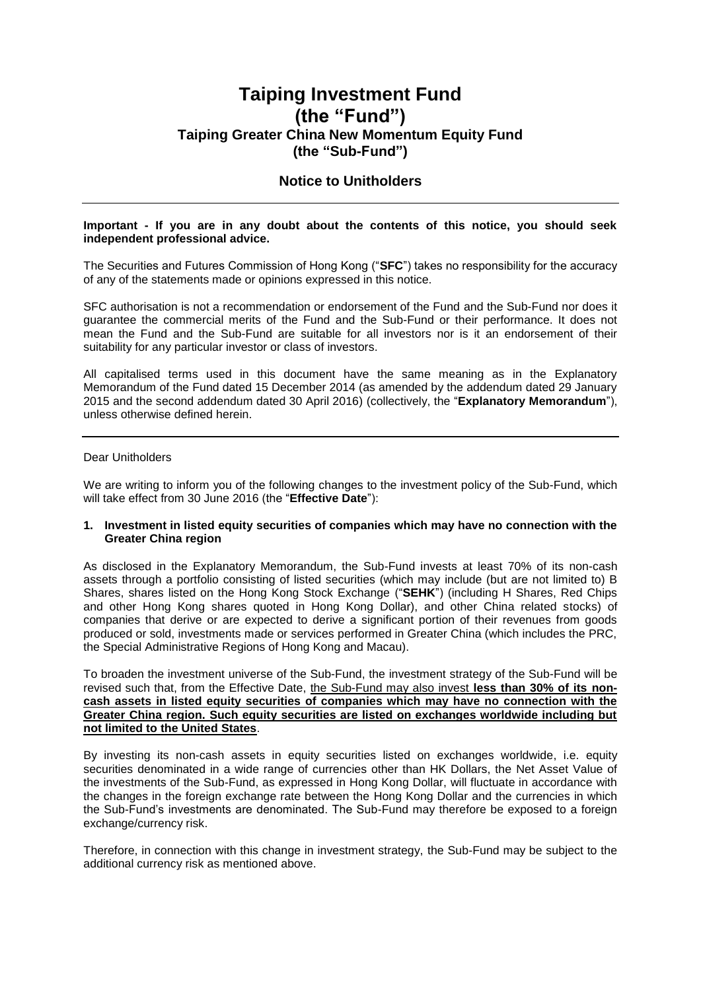# **Taiping Investment Fund (the "Fund") Taiping Greater China New Momentum Equity Fund (the "Sub-Fund")**

# **Notice to Unitholders**

#### **Important - If you are in any doubt about the contents of this notice, you should seek independent professional advice.**

The Securities and Futures Commission of Hong Kong ("**SFC**") takes no responsibility for the accuracy of any of the statements made or opinions expressed in this notice.

SFC authorisation is not a recommendation or endorsement of the Fund and the Sub-Fund nor does it guarantee the commercial merits of the Fund and the Sub-Fund or their performance. It does not mean the Fund and the Sub-Fund are suitable for all investors nor is it an endorsement of their suitability for any particular investor or class of investors.

All capitalised terms used in this document have the same meaning as in the Explanatory Memorandum of the Fund dated 15 December 2014 (as amended by the addendum dated 29 January 2015 and the second addendum dated 30 April 2016) (collectively, the "**Explanatory Memorandum**"), unless otherwise defined herein.

## Dear Unitholders

We are writing to inform you of the following changes to the investment policy of the Sub-Fund, which will take effect from 30 June 2016 (the "**Effective Date**"):

#### **1. Investment in listed equity securities of companies which may have no connection with the Greater China region**

As disclosed in the Explanatory Memorandum, the Sub-Fund invests at least 70% of its non-cash assets through a portfolio consisting of listed securities (which may include (but are not limited to) B Shares, shares listed on the Hong Kong Stock Exchange ("**SEHK**") (including H Shares, Red Chips and other Hong Kong shares quoted in Hong Kong Dollar), and other China related stocks) of companies that derive or are expected to derive a significant portion of their revenues from goods produced or sold, investments made or services performed in Greater China (which includes the PRC, the Special Administrative Regions of Hong Kong and Macau).

To broaden the investment universe of the Sub-Fund, the investment strategy of the Sub-Fund will be revised such that, from the Effective Date, the Sub-Fund may also invest **less than 30% of its noncash assets in listed equity securities of companies which may have no connection with the Greater China region. Such equity securities are listed on exchanges worldwide including but not limited to the United States**.

By investing its non-cash assets in equity securities listed on exchanges worldwide, i.e. equity securities denominated in a wide range of currencies other than HK Dollars, the Net Asset Value of the investments of the Sub-Fund, as expressed in Hong Kong Dollar, will fluctuate in accordance with the changes in the foreign exchange rate between the Hong Kong Dollar and the currencies in which the Sub-Fund's investments are denominated. The Sub-Fund may therefore be exposed to a foreign exchange/currency risk.

Therefore, in connection with this change in investment strategy, the Sub-Fund may be subject to the additional currency risk as mentioned above.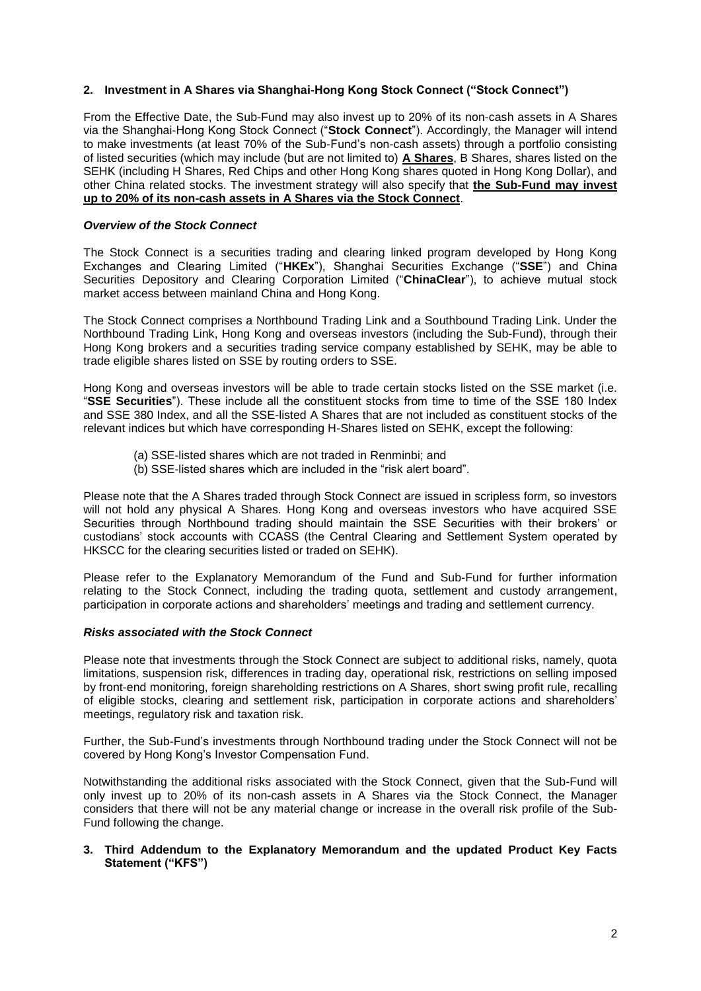### **2. Investment in A Shares via Shanghai-Hong Kong Stock Connect ("Stock Connect")**

From the Effective Date, the Sub-Fund may also invest up to 20% of its non-cash assets in A Shares via the Shanghai-Hong Kong Stock Connect ("**Stock Connect**"). Accordingly, the Manager will intend to make investments (at least 70% of the Sub-Fund's non-cash assets) through a portfolio consisting of listed securities (which may include (but are not limited to) **A Shares**, B Shares, shares listed on the SEHK (including H Shares, Red Chips and other Hong Kong shares quoted in Hong Kong Dollar), and other China related stocks. The investment strategy will also specify that **the Sub-Fund may invest up to 20% of its non-cash assets in A Shares via the Stock Connect**.

## *Overview of the Stock Connect*

The Stock Connect is a securities trading and clearing linked program developed by Hong Kong Exchanges and Clearing Limited ("**HKEx**"), Shanghai Securities Exchange ("**SSE**") and China Securities Depository and Clearing Corporation Limited ("**ChinaClear**"), to achieve mutual stock market access between mainland China and Hong Kong.

The Stock Connect comprises a Northbound Trading Link and a Southbound Trading Link. Under the Northbound Trading Link, Hong Kong and overseas investors (including the Sub-Fund), through their Hong Kong brokers and a securities trading service company established by SEHK, may be able to trade eligible shares listed on SSE by routing orders to SSE.

Hong Kong and overseas investors will be able to trade certain stocks listed on the SSE market (i.e. "**SSE Securities**"). These include all the constituent stocks from time to time of the SSE 180 Index and SSE 380 Index, and all the SSE-listed A Shares that are not included as constituent stocks of the relevant indices but which have corresponding H-Shares listed on SEHK, except the following:

- (a) SSE-listed shares which are not traded in Renminbi; and
- (b) SSE-listed shares which are included in the "risk alert board".

Please note that the A Shares traded through Stock Connect are issued in scripless form, so investors will not hold any physical A Shares. Hong Kong and overseas investors who have acquired SSE Securities through Northbound trading should maintain the SSE Securities with their brokers' or custodians' stock accounts with CCASS (the Central Clearing and Settlement System operated by HKSCC for the clearing securities listed or traded on SEHK).

Please refer to the Explanatory Memorandum of the Fund and Sub-Fund for further information relating to the Stock Connect, including the trading quota, settlement and custody arrangement, participation in corporate actions and shareholders' meetings and trading and settlement currency.

#### *Risks associated with the Stock Connect*

Please note that investments through the Stock Connect are subject to additional risks, namely, quota limitations, suspension risk, differences in trading day, operational risk, restrictions on selling imposed by front-end monitoring, foreign shareholding restrictions on A Shares, short swing profit rule, recalling of eligible stocks, clearing and settlement risk, participation in corporate actions and shareholders' meetings, regulatory risk and taxation risk.

Further, the Sub-Fund's investments through Northbound trading under the Stock Connect will not be covered by Hong Kong's Investor Compensation Fund.

Notwithstanding the additional risks associated with the Stock Connect, given that the Sub-Fund will only invest up to 20% of its non-cash assets in A Shares via the Stock Connect, the Manager considers that there will not be any material change or increase in the overall risk profile of the Sub-Fund following the change.

#### **3. Third Addendum to the Explanatory Memorandum and the updated Product Key Facts Statement ("KFS")**